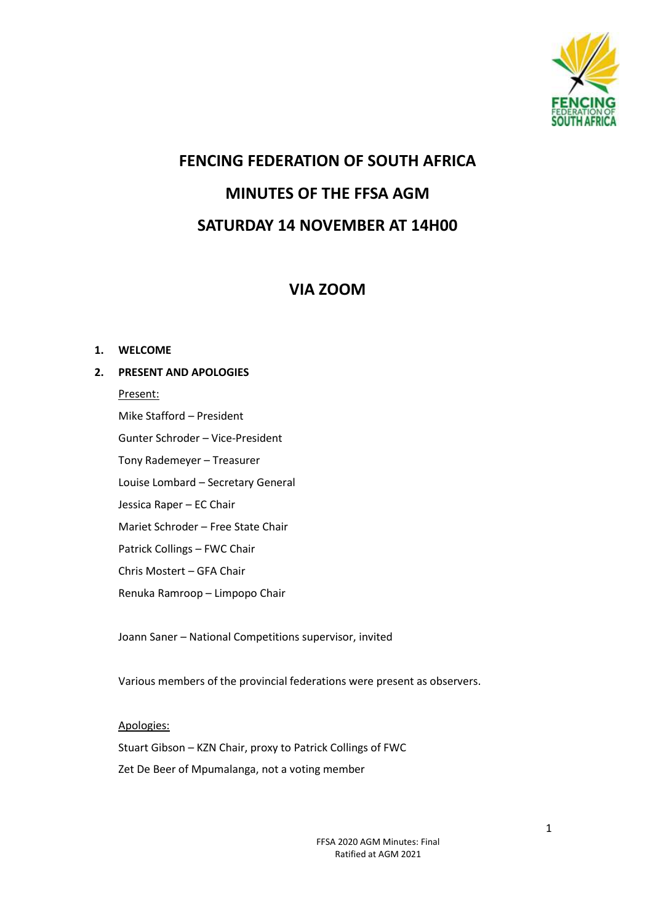

# **FENCING FEDERATION OF SOUTH AFRICA MINUTES OF THE FFSA AGM SATURDAY 14 NOVEMBER AT 14H00**

## **VIA ZOOM**

#### **1. WELCOME**

## **2. PRESENT AND APOLOGIES**

Present: Mike Stafford – President Gunter Schroder – Vice-President Tony Rademeyer – Treasurer Louise Lombard – Secretary General Jessica Raper – EC Chair Mariet Schroder – Free State Chair Patrick Collings – FWC Chair Chris Mostert – GFA Chair Renuka Ramroop – Limpopo Chair

Joann Saner – National Competitions supervisor, invited

Various members of the provincial federations were present as observers.

## Apologies:

Stuart Gibson – KZN Chair, proxy to Patrick Collings of FWC

Zet De Beer of Mpumalanga, not a voting member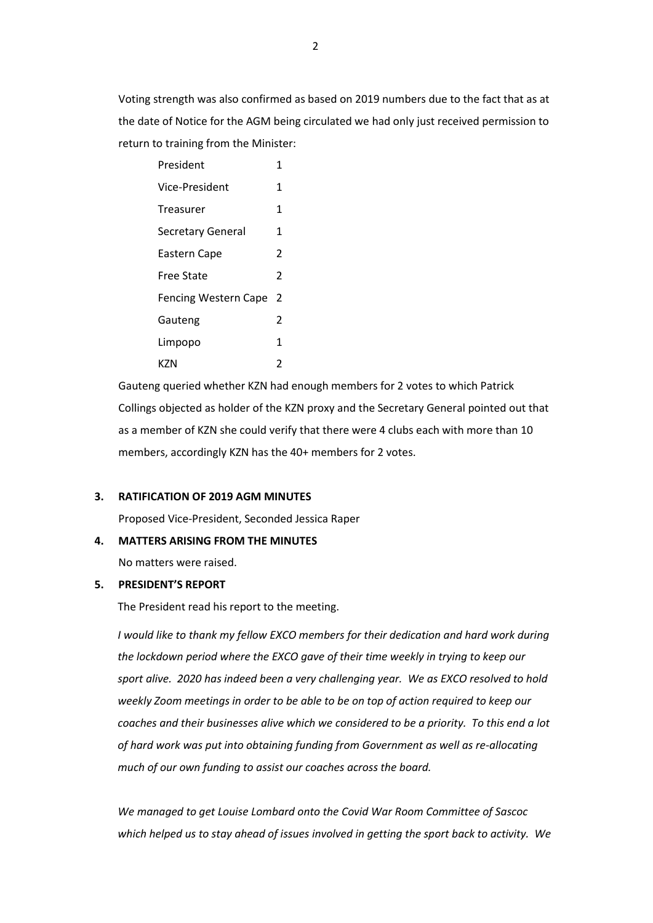Voting strength was also confirmed as based on 2019 numbers due to the fact that as at the date of Notice for the AGM being circulated we had only just received permission to return to training from the Minister:

| President                   | 1                        |
|-----------------------------|--------------------------|
| Vice-President              | 1                        |
| Treasurer                   | 1                        |
| <b>Secretary General</b>    | 1                        |
| Eastern Cape                | 2                        |
| Free State                  | $\overline{\phantom{a}}$ |
| <b>Fencing Western Cape</b> | 2                        |
| Gauteng                     | 2                        |
| Limpopo                     | 1                        |
| KZN                         | 2                        |

Gauteng queried whether KZN had enough members for 2 votes to which Patrick Collings objected as holder of the KZN proxy and the Secretary General pointed out that as a member of KZN she could verify that there were 4 clubs each with more than 10 members, accordingly KZN has the 40+ members for 2 votes.

#### **3. RATIFICATION OF 2019 AGM MINUTES**

Proposed Vice-President, Seconded Jessica Raper

#### **4. MATTERS ARISING FROM THE MINUTES**

No matters were raised.

#### **5. PRESIDENT'S REPORT**

The President read his report to the meeting.

*I* would like to thank my fellow EXCO members for their dedication and hard work during *the lockdown period where the EXCO gave of their time weekly in trying to keep our sport alive. 2020 has indeed been a very challenging year. We as EXCO resolved to hold weekly Zoom meetings in order to be able to be on top of action required to keep our coaches and their businesses alive which we considered to be a priority. To this end a lot of hard work was put into obtaining funding from Government as well as re-allocating much of our own funding to assist our coaches across the board.*

*We managed to get Louise Lombard onto the Covid War Room Committee of Sascoc which helped us to stay ahead of issues involved in getting the sport back to activity. We*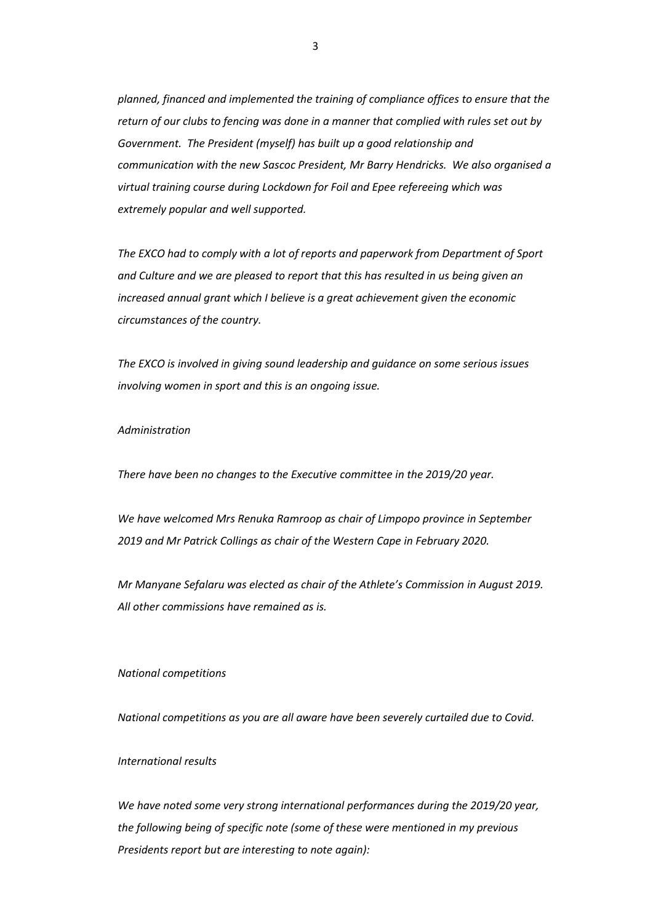*planned, financed and implemented the training of compliance offices to ensure that the return of our clubs to fencing was done in a manner that complied with rules set out by Government. The President (myself) has built up a good relationship and communication with the new Sascoc President, Mr Barry Hendricks. We also organised a virtual training course during Lockdown for Foil and Epee refereeing which was extremely popular and well supported.*

*The EXCO had to comply with a lot of reports and paperwork from Department of Sport and Culture and we are pleased to report that this has resulted in us being given an increased annual grant which I believe is a great achievement given the economic circumstances of the country.*

*The EXCO is involved in giving sound leadership and guidance on some serious issues involving women in sport and this is an ongoing issue.*

#### *Administration*

*There have been no changes to the Executive committee in the 2019/20 year.*

*We have welcomed Mrs Renuka Ramroop as chair of Limpopo province in September 2019 and Mr Patrick Collings as chair of the Western Cape in February 2020.*

*Mr Manyane Sefalaru was elected as chair of the Athlete's Commission in August 2019. All other commissions have remained as is.*

#### *National competitions*

*National competitions as you are all aware have been severely curtailed due to Covid.*

#### *International results*

*We have noted some very strong international performances during the 2019/20 year, the following being of specific note (some of these were mentioned in my previous Presidents report but are interesting to note again):*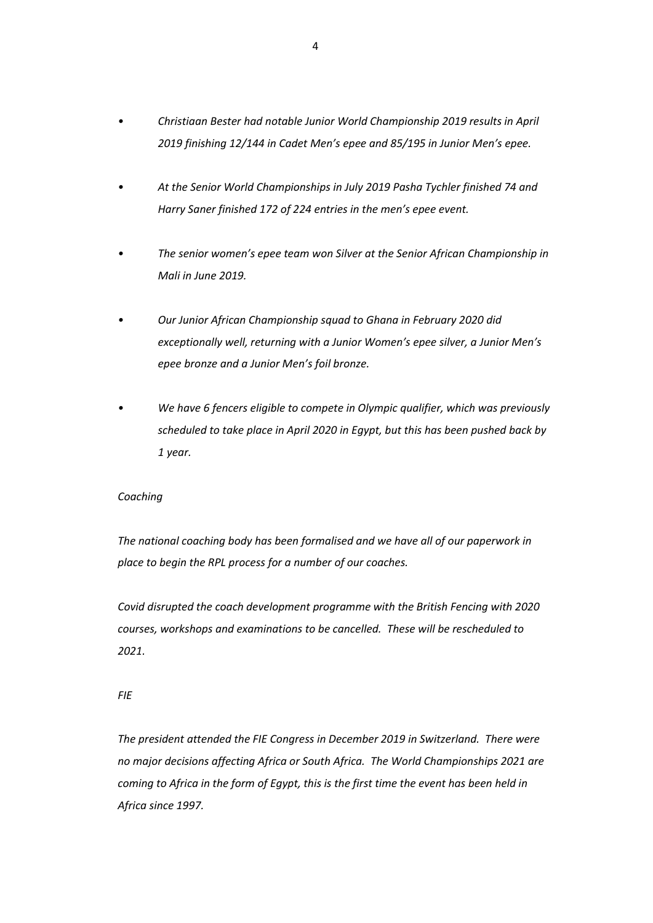- *• Christiaan Bester had notable Junior World Championship 2019 results in April 2019 finishing 12/144 in Cadet Men's epee and 85/195 in Junior Men's epee.*
- *• At the Senior World Championships in July 2019 Pasha Tychler finished 74 and Harry Saner finished 172 of 224 entries in the men's epee event.*
- *• The senior women's epee team won Silver at the Senior African Championship in Mali in June 2019.*
- *• Our Junior African Championship squad to Ghana in February 2020 did exceptionally well, returning with a Junior Women's epee silver, a Junior Men's epee bronze and a Junior Men's foil bronze.*
- *• We have 6 fencers eligible to compete in Olympic qualifier, which was previously scheduled to take place in April 2020 in Egypt, but this has been pushed back by 1 year.*

#### *Coaching*

*The national coaching body has been formalised and we have all of our paperwork in place to begin the RPL process for a number of our coaches.*

*Covid disrupted the coach development programme with the British Fencing with 2020 courses, workshops and examinations to be cancelled. These will be rescheduled to 2021.*

*FIE*

*The president attended the FIE Congress in December 2019 in Switzerland. There were no major decisions affecting Africa or South Africa. The World Championships 2021 are coming to Africa in the form of Egypt, this is the first time the event has been held in Africa since 1997.*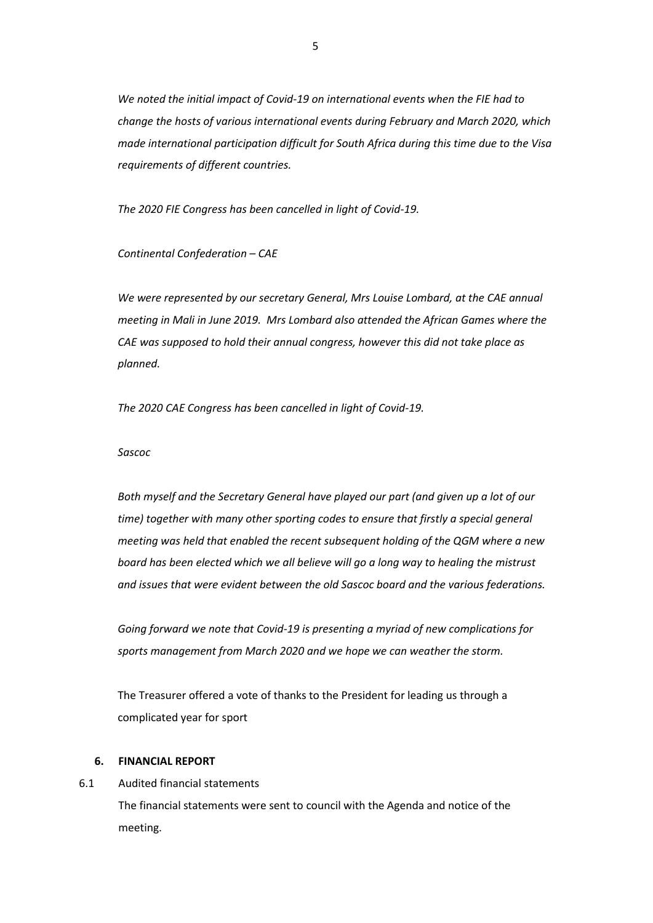*We noted the initial impact of Covid-19 on international events when the FIE had to change the hosts of various international events during February and March 2020, which made international participation difficult for South Africa during this time due to the Visa requirements of different countries.* 

*The 2020 FIE Congress has been cancelled in light of Covid-19.*

*Continental Confederation – CAE*

We were represented by our secretary General, Mrs Louise Lombard, at the CAE annual *meeting in Mali in June 2019. Mrs Lombard also attended the African Games where the CAE was supposed to hold their annual congress, however this did not take place as planned.* 

*The 2020 CAE Congress has been cancelled in light of Covid-19.*

#### *Sascoc*

*Both myself and the Secretary General have played our part (and given up a lot of our time) together with many other sporting codes to ensure that firstly a special general meeting was held that enabled the recent subsequent holding of the QGM where a new board has been elected which we all believe will go a long way to healing the mistrust and issues that were evident between the old Sascoc board and the various federations.*

*Going forward we note that Covid-19 is presenting a myriad of new complications for sports management from March 2020 and we hope we can weather the storm.*

The Treasurer offered a vote of thanks to the President for leading us through a complicated year for sport

#### **6. FINANCIAL REPORT**

6.1 Audited financial statements

The financial statements were sent to council with the Agenda and notice of the meeting.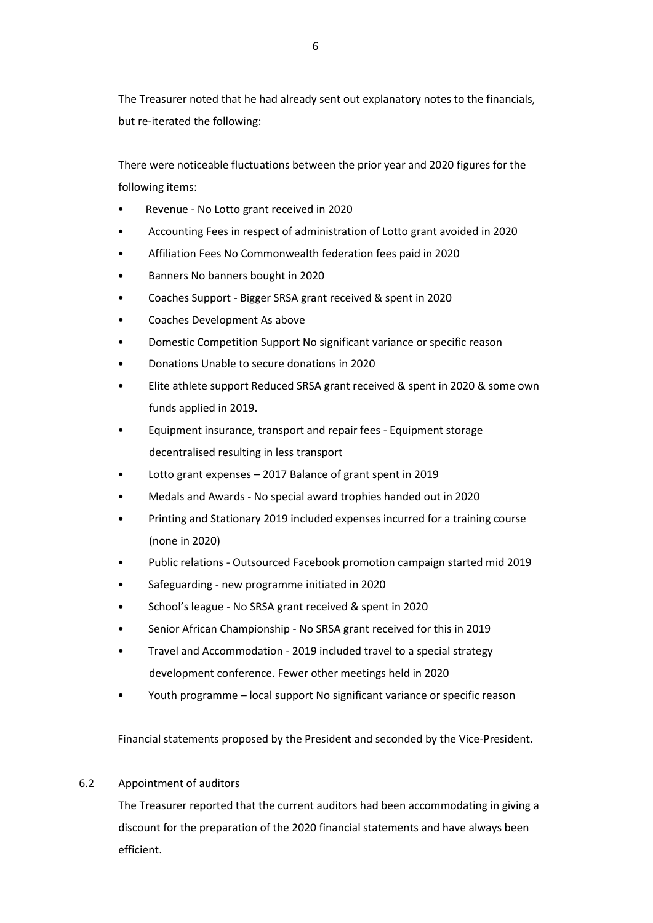The Treasurer noted that he had already sent out explanatory notes to the financials, but re-iterated the following:

There were noticeable fluctuations between the prior year and 2020 figures for the following items:

- Revenue No Lotto grant received in 2020
- Accounting Fees in respect of administration of Lotto grant avoided in 2020
- Affiliation Fees No Commonwealth federation fees paid in 2020
- Banners No banners bought in 2020
- Coaches Support Bigger SRSA grant received & spent in 2020
- Coaches Development As above
- Domestic Competition Support No significant variance or specific reason
- Donations Unable to secure donations in 2020
- Elite athlete support Reduced SRSA grant received & spent in 2020 & some own funds applied in 2019.
- Equipment insurance, transport and repair fees Equipment storage decentralised resulting in less transport
- Lotto grant expenses 2017 Balance of grant spent in 2019
- Medals and Awards No special award trophies handed out in 2020
- Printing and Stationary 2019 included expenses incurred for a training course (none in 2020)
- Public relations Outsourced Facebook promotion campaign started mid 2019
- Safeguarding new programme initiated in 2020
- School's league No SRSA grant received & spent in 2020
- Senior African Championship No SRSA grant received for this in 2019
- Travel and Accommodation 2019 included travel to a special strategy development conference. Fewer other meetings held in 2020
- Youth programme local support No significant variance or specific reason

Financial statements proposed by the President and seconded by the Vice-President.

#### 6.2 Appointment of auditors

The Treasurer reported that the current auditors had been accommodating in giving a discount for the preparation of the 2020 financial statements and have always been efficient.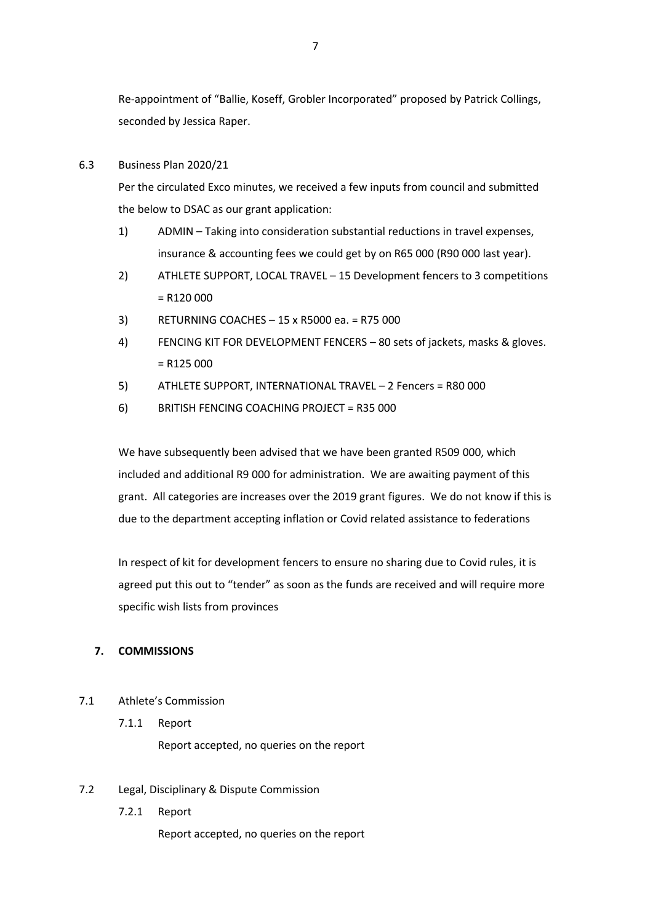Re-appointment of "Ballie, Koseff, Grobler Incorporated" proposed by Patrick Collings, seconded by Jessica Raper.

#### 6.3 Business Plan 2020/21

Per the circulated Exco minutes, we received a few inputs from council and submitted the below to DSAC as our grant application:

- 1) ADMIN Taking into consideration substantial reductions in travel expenses, insurance & accounting fees we could get by on R65 000 (R90 000 last year).
- 2) ATHLETE SUPPORT, LOCAL TRAVEL 15 Development fencers to 3 competitions  $= R120000$
- 3) RETURNING COACHES 15 x R5000 ea. = R75 000
- 4) FENCING KIT FOR DEVELOPMENT FENCERS 80 sets of jackets, masks & gloves.  $= R125000$
- 5) ATHLETE SUPPORT, INTERNATIONAL TRAVEL 2 Fencers = R80 000
- 6) BRITISH FENCING COACHING PROJECT = R35 000

We have subsequently been advised that we have been granted R509 000, which included and additional R9 000 for administration. We are awaiting payment of this grant. All categories are increases over the 2019 grant figures. We do not know if this is due to the department accepting inflation or Covid related assistance to federations

In respect of kit for development fencers to ensure no sharing due to Covid rules, it is agreed put this out to "tender" as soon as the funds are received and will require more specific wish lists from provinces

## **7. COMMISSIONS**

- 7.1 Athlete's Commission
	- 7.1.1 Report

Report accepted, no queries on the report

## 7.2 Legal, Disciplinary & Dispute Commission

7.2.1 Report

Report accepted, no queries on the report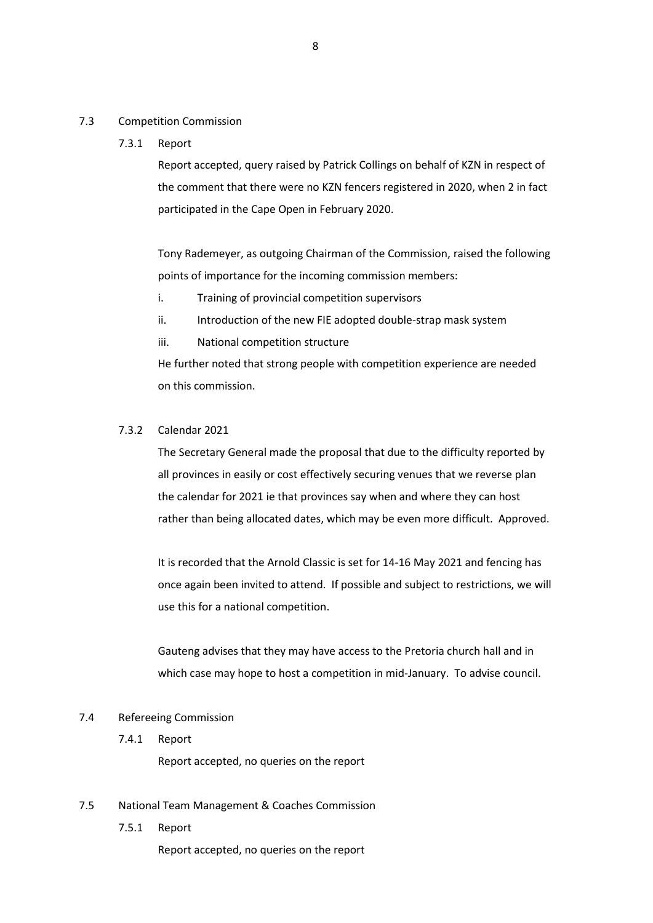#### 7.3 Competition Commission

#### 7.3.1 Report

Report accepted, query raised by Patrick Collings on behalf of KZN in respect of the comment that there were no KZN fencers registered in 2020, when 2 in fact participated in the Cape Open in February 2020.

Tony Rademeyer, as outgoing Chairman of the Commission, raised the following points of importance for the incoming commission members:

- i. Training of provincial competition supervisors
- ii. Introduction of the new FIE adopted double-strap mask system
- iii. National competition structure

He further noted that strong people with competition experience are needed on this commission.

#### 7.3.2 Calendar 2021

The Secretary General made the proposal that due to the difficulty reported by all provinces in easily or cost effectively securing venues that we reverse plan the calendar for 2021 ie that provinces say when and where they can host rather than being allocated dates, which may be even more difficult. Approved.

It is recorded that the Arnold Classic is set for 14-16 May 2021 and fencing has once again been invited to attend. If possible and subject to restrictions, we will use this for a national competition.

Gauteng advises that they may have access to the Pretoria church hall and in which case may hope to host a competition in mid-January. To advise council.

#### 7.4 Refereeing Commission

7.4.1 Report

Report accepted, no queries on the report

- 7.5 National Team Management & Coaches Commission
	- 7.5.1 Report

8

Report accepted, no queries on the report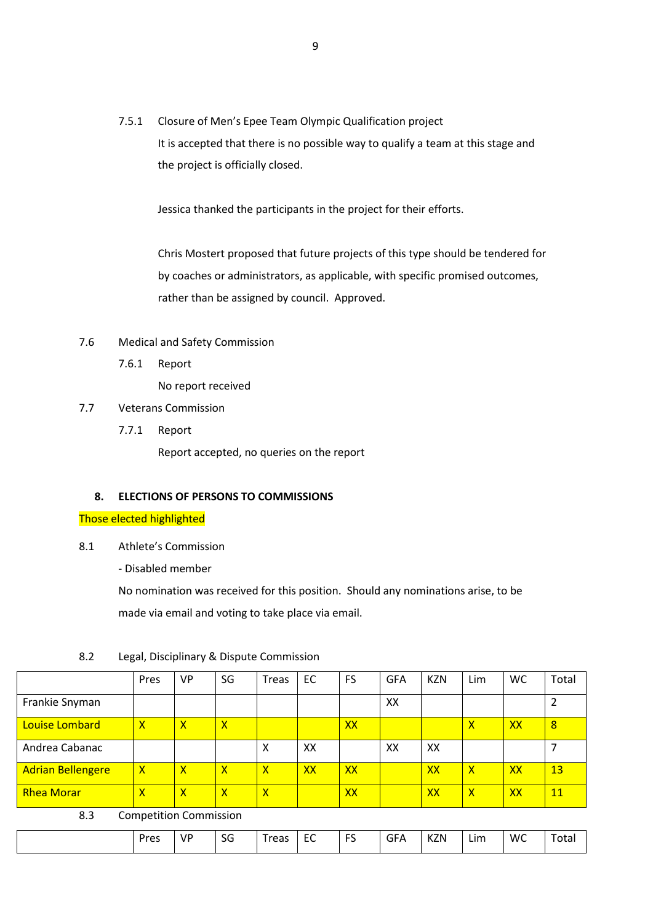7.5.1 Closure of Men's Epee Team Olympic Qualification project It is accepted that there is no possible way to qualify a team at this stage and the project is officially closed.

Jessica thanked the participants in the project for their efforts.

Chris Mostert proposed that future projects of this type should be tendered for by coaches or administrators, as applicable, with specific promised outcomes, rather than be assigned by council. Approved.

- 7.6 Medical and Safety Commission
	- 7.6.1 Report

No report received

- 7.7 Veterans Commission
	- 7.7.1 Report

Report accepted, no queries on the report

#### **8. ELECTIONS OF PERSONS TO COMMISSIONS**

Those elected highlighted

- 8.1 Athlete's Commission
	- Disabled member

No nomination was received for this position. Should any nominations arise, to be made via email and voting to take place via email.

|                          | Pres                    | VP           | SG | <b>Treas</b> | EC | <b>FS</b> | <b>GFA</b> | <b>KZN</b> | Lim          | WC | Total     |
|--------------------------|-------------------------|--------------|----|--------------|----|-----------|------------|------------|--------------|----|-----------|
| Frankie Snyman           |                         |              |    |              |    |           | XX         |            |              |    |           |
| Louise Lombard           | $\mathsf{x}$            | $\mathsf{x}$ | X  |              |    | XX        |            |            | х            | XX | 8         |
| Andrea Cabanac           |                         |              |    | X            | XX |           | XX         | XX         |              |    |           |
| <b>Adrian Bellengere</b> | $\mathsf{\overline{X}}$ | x            | X  | χ            | XX | <b>XX</b> |            | <b>XX</b>  | $\mathsf{x}$ | XX | 13        |
| <b>Rhea Morar</b>        | X                       | X            | X  | Χ            |    | XX        |            | <b>XX</b>  | $\mathsf{x}$ | XX | <b>11</b> |

#### 8.2 Legal, Disciplinary & Dispute Commission

#### 8.3 Competition Commission

| Pres<br>rooc<br>∟ım<br>7 N.<br>эu<br>N4<br>uta<br><b>11</b><br>. .<br>È<br>-<br>$-$<br>$\sim$<br>___<br>$\sim$<br>$ -$<br>$\sim$ $\sim$ $\sim$ $\sim$ $\sim$ $\sim$ $\sim$ |  |  |  | VP | $\sim$ |  | $\sim$ $\sim$ | $\sim$ | $\sim$ $\sim$ $\sim$ |  | . | WC |  |
|----------------------------------------------------------------------------------------------------------------------------------------------------------------------------|--|--|--|----|--------|--|---------------|--------|----------------------|--|---|----|--|
|----------------------------------------------------------------------------------------------------------------------------------------------------------------------------|--|--|--|----|--------|--|---------------|--------|----------------------|--|---|----|--|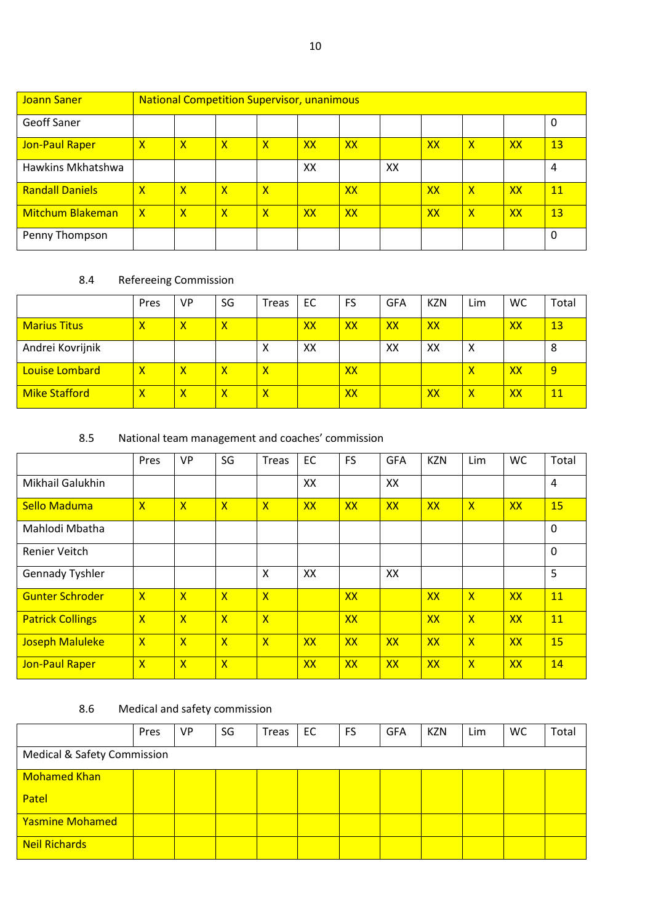| Joann Saner             |              | <b>National Competition Supervisor, unanimous</b> |   |                         |           |    |    |           |              |           |    |  |  |  |
|-------------------------|--------------|---------------------------------------------------|---|-------------------------|-----------|----|----|-----------|--------------|-----------|----|--|--|--|
| <b>Geoff Saner</b>      |              |                                                   |   |                         |           |    |    |           |              |           | 0  |  |  |  |
| Jon-Paul Raper          | X            | $\mathsf{x}$                                      | X | $\overline{\mathsf{x}}$ | <b>XX</b> | XX |    | <b>XX</b> | X            | <b>XX</b> | 13 |  |  |  |
| Hawkins Mkhatshwa       |              |                                                   |   |                         | XX        |    | XX |           |              |           | 4  |  |  |  |
| <b>Randall Daniels</b>  | X            | $\mathbf x$                                       | X | $\mathsf{x}$            |           | XX |    | XX        | $\mathsf{x}$ | XX        | 11 |  |  |  |
| <b>Mitchum Blakeman</b> | $\mathsf{x}$ | X                                                 | x | Χ                       | XX        | XX |    | XX        | X            | <b>XX</b> | 13 |  |  |  |
| Penny Thompson          |              |                                                   |   |                         |           |    |    |           |              |           | 0  |  |  |  |

## 8.4 Refereeing Commission

|                          | Pres | VP | SG | Treas                   | EC | <b>FS</b> | <b>GFA</b> | <b>KZN</b> | Lim          | <b>WC</b> | Total |
|--------------------------|------|----|----|-------------------------|----|-----------|------------|------------|--------------|-----------|-------|
| <b>Marius Titus</b>      | Χ    | х  | х  |                         | XX | <b>XX</b> | XX         | XX         |              | XX        | 13    |
| Andrei Kovrijnik         |      |    |    | X                       | XX |           | ХX         | XX         | Χ            |           | 8     |
| <u>- Louise Lombard </u> | X    | χ  | Χ  | $\mathsf{\overline{x}}$ |    | XX        |            |            | Χ            | XX        | 9     |
| <b>Mike Stafford</b>     | Χ    | χ  | х  | $\mathsf{x}$            |    | <b>XX</b> |            | XX         | $\mathsf{x}$ | XX        | 11    |

## 8.5 National team management and coaches' commission

|                         | Pres                    | <b>VP</b>      | SG                      | <b>Treas</b>            | <b>EC</b> | <b>FS</b> | <b>GFA</b> | <b>KZN</b> | Lim                     | <b>WC</b> | Total       |
|-------------------------|-------------------------|----------------|-------------------------|-------------------------|-----------|-----------|------------|------------|-------------------------|-----------|-------------|
| Mikhail Galukhin        |                         |                |                         |                         | XX        |           | XX         |            |                         |           | 4           |
| <b>Sello Maduma</b>     | $\overline{\mathsf{x}}$ | $\overline{X}$ | $\mathsf{x}$            | $\overline{\mathsf{X}}$ | <b>XX</b> | XX        | <b>XX</b>  | <b>XX</b>  | $\overline{\mathsf{X}}$ | XX        | 15          |
| Mahlodi Mbatha          |                         |                |                         |                         |           |           |            |            |                         |           | $\mathbf 0$ |
| Renier Veitch           |                         |                |                         |                         |           |           |            |            |                         |           | $\mathbf 0$ |
| <b>Gennady Tyshler</b>  |                         |                |                         | $\times$                | XX        |           | XX         |            |                         |           | 5           |
| <b>Gunter Schroder</b>  | $\overline{\mathsf{x}}$ | $\overline{X}$ | $\mathsf{x}$            | $\overline{\mathsf{X}}$ |           | XX        |            | <b>XX</b>  | $\mathsf{x}$            | XX        | <b>11</b>   |
| <b>Patrick Collings</b> | $\overline{\mathsf{x}}$ | $\mathsf{X}$   | $\overline{\mathsf{x}}$ | $\overline{\mathsf{X}}$ |           | <b>XX</b> |            | <b>XX</b>  | $\mathsf{X}$            | XX        | <b>11</b>   |
| <b>Joseph Maluleke</b>  | $\overline{\mathsf{x}}$ | $\mathsf{X}$   | $\overline{X}$          | $\mathsf{x}$            | XX        | <b>XX</b> | <b>XX</b>  | XX         | $\mathsf{X}$            | XX        | 15          |
| Jon-Paul Raper          | $\overline{\mathsf{x}}$ | $\mathsf{X}$   | $\overline{\mathsf{x}}$ |                         | <b>XX</b> | <b>XX</b> | <b>XX</b>  | <b>XX</b>  | $\mathsf{X}$            | XX        | 14          |

## 8.6 Medical and safety commission

|                                        | Pres | VP | SG | <b>Treas</b> | EC | <b>FS</b> | <b>GFA</b> | <b>KZN</b> | Lim | <b>WC</b> | Total |  |  |
|----------------------------------------|------|----|----|--------------|----|-----------|------------|------------|-----|-----------|-------|--|--|
| <b>Medical &amp; Safety Commission</b> |      |    |    |              |    |           |            |            |     |           |       |  |  |
| <b>Mohamed Khan</b>                    |      |    |    |              |    |           |            |            |     |           |       |  |  |
| Patel                                  |      |    |    |              |    |           |            |            |     |           |       |  |  |
| <b>Yasmine Mohamed</b>                 |      |    |    |              |    |           |            |            |     |           |       |  |  |
| <b>Neil Richards</b>                   |      |    |    |              |    |           |            |            |     |           |       |  |  |